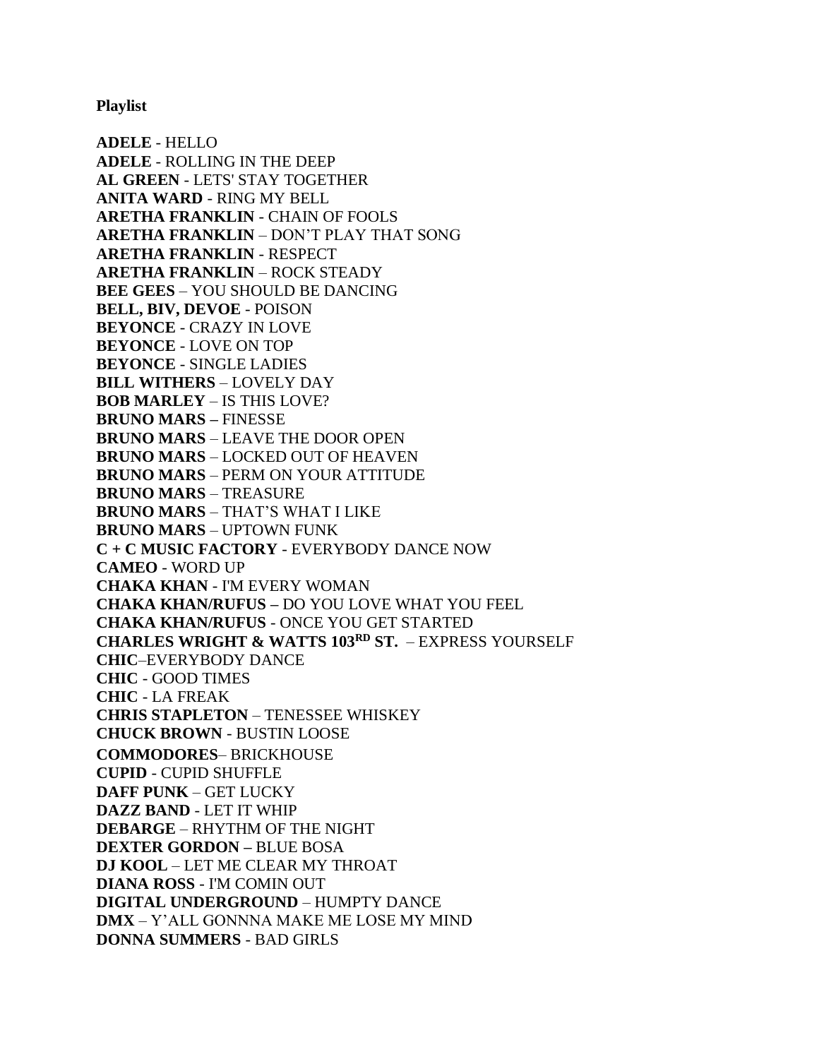**Playlist**

**ADELE** - HELLO **ADELE** - ROLLING IN THE DEEP **AL GREEN** - LETS' STAY TOGETHER **ANITA WARD** - RING MY BELL **ARETHA FRANKLIN** - CHAIN OF FOOLS **ARETHA FRANKLIN** – DON'T PLAY THAT SONG **ARETHA FRANKLIN** - RESPECT **ARETHA FRANKLIN** – ROCK STEADY **BEE GEES** – YOU SHOULD BE DANCING **BELL, BIV, DEVOE** - POISON **BEYONCE** - CRAZY IN LOVE **BEYONCE** - LOVE ON TOP **BEYONCE** - SINGLE LADIES **BILL WITHERS** – LOVELY DAY **BOB MARLEY** – IS THIS LOVE? **BRUNO MARS –** FINESSE **BRUNO MARS** – LEAVE THE DOOR OPEN **BRUNO MARS** – LOCKED OUT OF HEAVEN **BRUNO MARS** – PERM ON YOUR ATTITUDE **BRUNO MARS** – TREASURE **BRUNO MARS** – THAT'S WHAT I LIKE **BRUNO MARS** – UPTOWN FUNK **C + C MUSIC FACTORY** - EVERYBODY DANCE NOW **CAMEO** - WORD UP **CHAKA KHAN** - I'M EVERY WOMAN **CHAKA KHAN/RUFUS –** DO YOU LOVE WHAT YOU FEEL **CHAKA KHAN/RUFUS** - ONCE YOU GET STARTED **CHARLES WRIGHT & WATTS 103RD ST.** – EXPRESS YOURSELF **CHIC**–EVERYBODY DANCE **CHIC** - GOOD TIMES **CHIC** - LA FREAK **CHRIS STAPLETON** – TENESSEE WHISKEY **CHUCK BROWN** - BUSTIN LOOSE **COMMODORES**– BRICKHOUSE **CUPID** - CUPID SHUFFLE **DAFF PUNK** – GET LUCKY **DAZZ BAND** - LET IT WHIP **DEBARGE** – RHYTHM OF THE NIGHT **DEXTER GORDON –** BLUE BOSA **DJ KOOL** – LET ME CLEAR MY THROAT **DIANA ROSS** - I'M COMIN OUT **DIGITAL UNDERGROUND** – HUMPTY DANCE **DMX** – Y'ALL GONNNA MAKE ME LOSE MY MIND **DONNA SUMMERS** - BAD GIRLS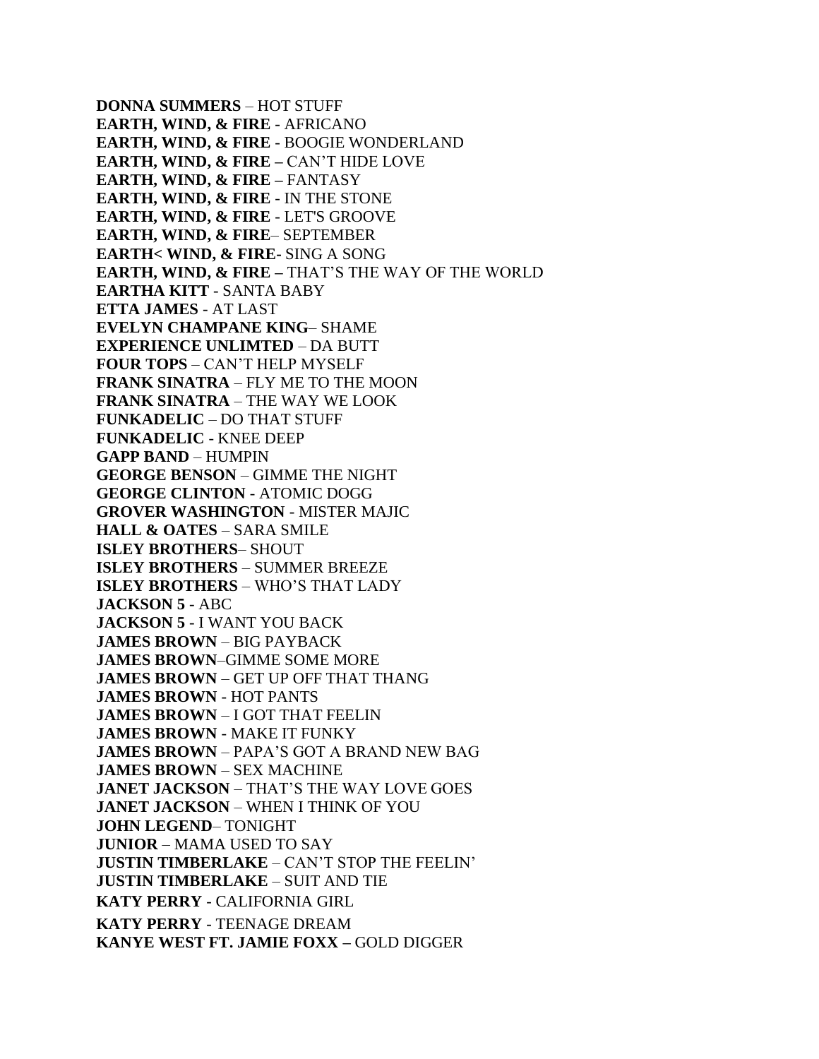**DONNA SUMMERS** – HOT STUFF **EARTH, WIND, & FIRE** - AFRICANO **EARTH, WIND, & FIRE** - BOOGIE WONDERLAND **EARTH, WIND, & FIRE –** CAN'T HIDE LOVE **EARTH, WIND, & FIRE –** FANTASY **EARTH, WIND, & FIRE** - IN THE STONE **EARTH, WIND, & FIRE** - LET'S GROOVE **EARTH, WIND, & FIRE**– SEPTEMBER **EARTH< WIND, & FIRE-** SING A SONG **EARTH, WIND, & FIRE –** THAT'S THE WAY OF THE WORLD **EARTHA KITT** - SANTA BABY **ETTA JAMES** - AT LAST **EVELYN CHAMPANE KING**– SHAME **EXPERIENCE UNLIMTED** – DA BUTT **FOUR TOPS** – CAN'T HELP MYSELF **FRANK SINATRA** – FLY ME TO THE MOON **FRANK SINATRA** – THE WAY WE LOOK **FUNKADELIC** – DO THAT STUFF **FUNKADELIC** - KNEE DEEP **GAPP BAND** – HUMPIN **GEORGE BENSON** – GIMME THE NIGHT **GEORGE CLINTON** - ATOMIC DOGG **GROVER WASHINGTON** - MISTER MAJIC **HALL & OATES** – SARA SMILE **ISLEY BROTHERS**– SHOUT **ISLEY BROTHERS** – SUMMER BREEZE **ISLEY BROTHERS** – WHO'S THAT LADY **JACKSON 5** - ABC **JACKSON 5** - I WANT YOU BACK **JAMES BROWN** – BIG PAYBACK **JAMES BROWN**–GIMME SOME MORE **JAMES BROWN** – GET UP OFF THAT THANG **JAMES BROWN** - HOT PANTS **JAMES BROWN** – I GOT THAT FEELIN **JAMES BROWN** - MAKE IT FUNKY **JAMES BROWN** – PAPA'S GOT A BRAND NEW BAG **JAMES BROWN** – SEX MACHINE **JANET JACKSON** – THAT'S THE WAY LOVE GOES **JANET JACKSON** – WHEN I THINK OF YOU **JOHN LEGEND**– TONIGHT **JUNIOR** – MAMA USED TO SAY **JUSTIN TIMBERLAKE** – CAN'T STOP THE FEELIN' **JUSTIN TIMBERLAKE** – SUIT AND TIE **KATY PERRY** - CALIFORNIA GIRL **KATY PERRY** - TEENAGE DREAM **KANYE WEST FT. JAMIE FOXX –** GOLD DIGGER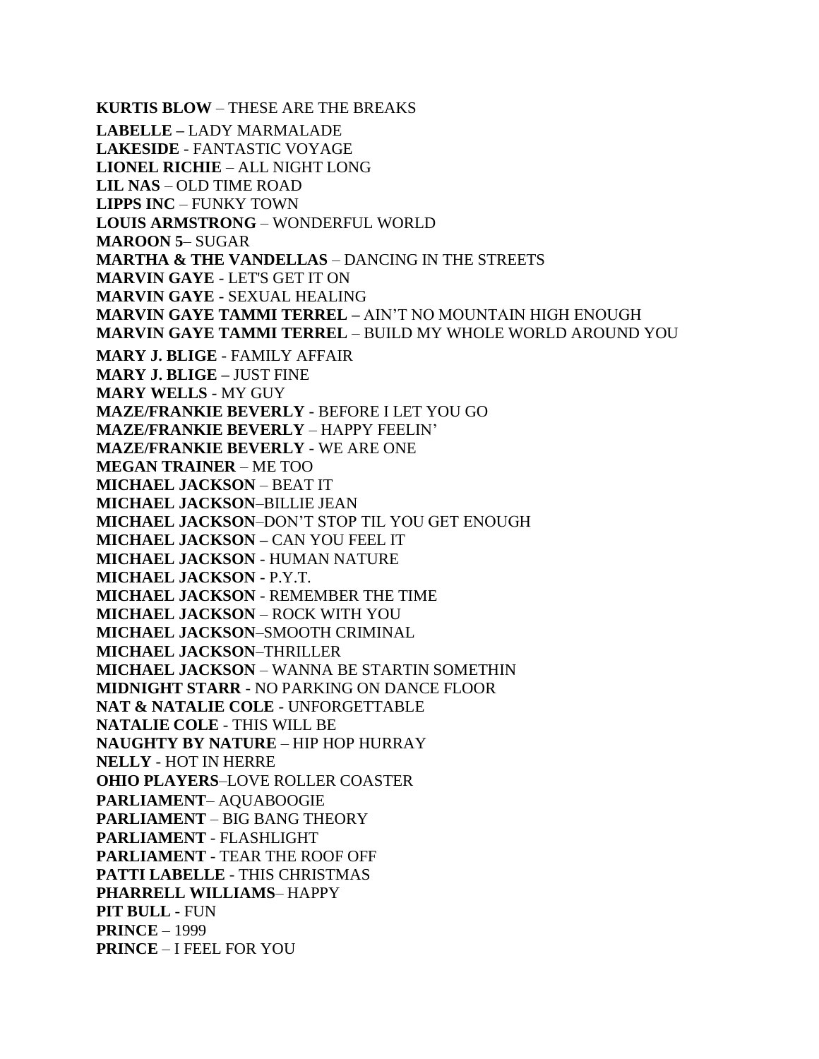**KURTIS BLOW** – THESE ARE THE BREAKS **LABELLE –** LADY MARMALADE **LAKESIDE** - FANTASTIC VOYAGE **LIONEL RICHIE** – ALL NIGHT LONG **LIL NAS** – OLD TIME ROAD **LIPPS INC** – FUNKY TOWN **LOUIS ARMSTRONG** – WONDERFUL WORLD **MAROON 5**– SUGAR **MARTHA & THE VANDELLAS** – DANCING IN THE STREETS **MARVIN GAYE** - LET'S GET IT ON **MARVIN GAYE** - SEXUAL HEALING **MARVIN GAYE TAMMI TERREL –** AIN'T NO MOUNTAIN HIGH ENOUGH **MARVIN GAYE TAMMI TERREL** – BUILD MY WHOLE WORLD AROUND YOU **MARY J. BLIGE** - FAMILY AFFAIR **MARY J. BLIGE –** JUST FINE **MARY WELLS** - MY GUY **MAZE/FRANKIE BEVERLY** - BEFORE I LET YOU GO **MAZE/FRANKIE BEVERLY** – HAPPY FEELIN' **MAZE/FRANKIE BEVERLY** - WE ARE ONE **MEGAN TRAINER** – ME TOO **MICHAEL JACKSON** – BEAT IT **MICHAEL JACKSON**–BILLIE JEAN **MICHAEL JACKSON**–DON'T STOP TIL YOU GET ENOUGH **MICHAEL JACKSON –** CAN YOU FEEL IT **MICHAEL JACKSON** - HUMAN NATURE **MICHAEL JACKSON** - P.Y.T. **MICHAEL JACKSON** - REMEMBER THE TIME **MICHAEL JACKSON** – ROCK WITH YOU **MICHAEL JACKSON**–SMOOTH CRIMINAL **MICHAEL JACKSON**–THRILLER **MICHAEL JACKSON** – WANNA BE STARTIN SOMETHIN **MIDNIGHT STARR** - NO PARKING ON DANCE FLOOR **NAT & NATALIE COLE** - UNFORGETTABLE **NATALIE COLE** - THIS WILL BE **NAUGHTY BY NATURE** – HIP HOP HURRAY **NELLY** - HOT IN HERRE **OHIO PLAYERS**–LOVE ROLLER COASTER **PARLIAMENT**– AQUABOOGIE **PARLIAMENT** – BIG BANG THEORY **PARLIAMENT** - FLASHLIGHT **PARLIAMENT** - TEAR THE ROOF OFF **PATTI LABELLE** - THIS CHRISTMAS **PHARRELL WILLIAMS**– HAPPY **PIT BULL** - FUN **PRINCE** – 1999 **PRINCE** – I FEEL FOR YOU